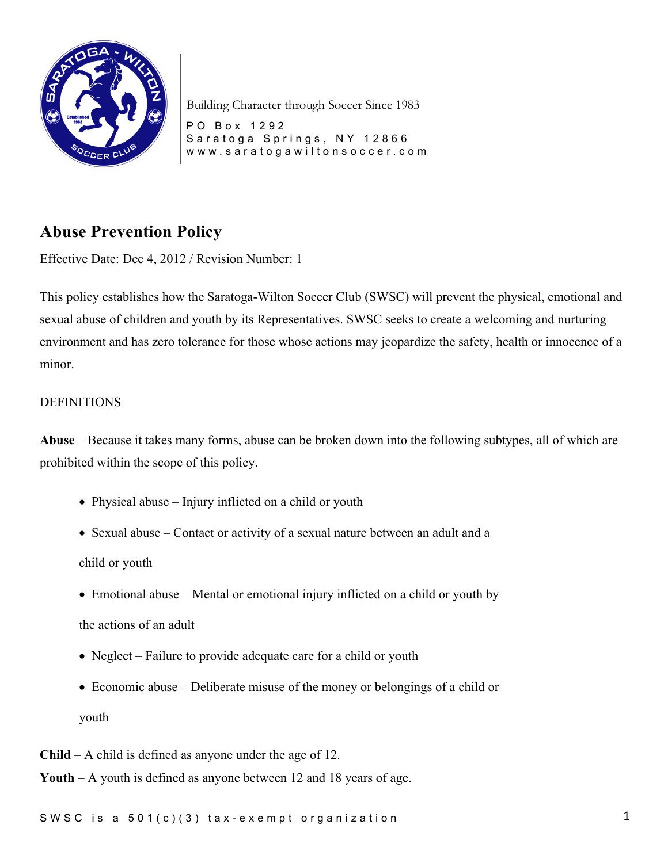

PO Box 1292 Saratoga Springs, NY 12866 www.saratogawiltonsoccer.co m

# **Abuse Prevention Policy**

Effective Date: Dec 4, 2012 / Revision Number: 1

This policy establishes how the Saratoga-Wilton Soccer Club (SWSC) will prevent the physical, emotional and sexual abuse of children and youth by its Representatives. SWSC seeks to create a welcoming and nurturing environment and has zero tolerance for those whose actions may jeopardize the safety, health or innocence of a minor.

#### DEFINITIONS

**Abuse** – Because it takes many forms, abuse can be broken down into the following subtypes, all of which are prohibited within the scope of this policy.

- Physical abuse Injury inflicted on a child or youth
- Sexual abuse Contact or activity of a sexual nature between an adult and a

child or youth

• Emotional abuse – Mental or emotional injury inflicted on a child or youth by

the actions of an adult

- Neglect Failure to provide adequate care for a child or youth
- Economic abuse Deliberate misuse of the money or belongings of a child or youth
- **Child** A child is defined as anyone under the age of 12.

**Youth** – A youth is defined as anyone between 12 and 18 years of age.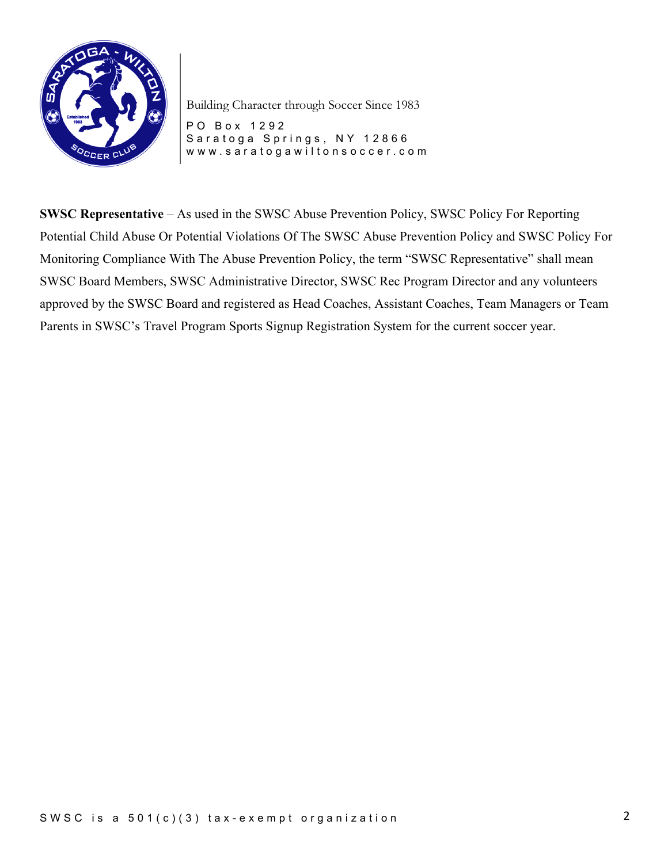

PO Box 1292 Saratoga Springs, NY 12866 www.saratogawiltonsoccer.co m

**SWSC Representative** – As used in the SWSC Abuse Prevention Policy, SWSC Policy For Reporting Potential Child Abuse Or Potential Violations Of The SWSC Abuse Prevention Policy and SWSC Policy For Monitoring Compliance With The Abuse Prevention Policy, the term "SWSC Representative" shall mean SWSC Board Members, SWSC Administrative Director, SWSC Rec Program Director and any volunteers approved by the SWSC Board and registered as Head Coaches, Assistant Coaches, Team Managers or Team Parents in SWSC's Travel Program Sports Signup Registration System for the current soccer year.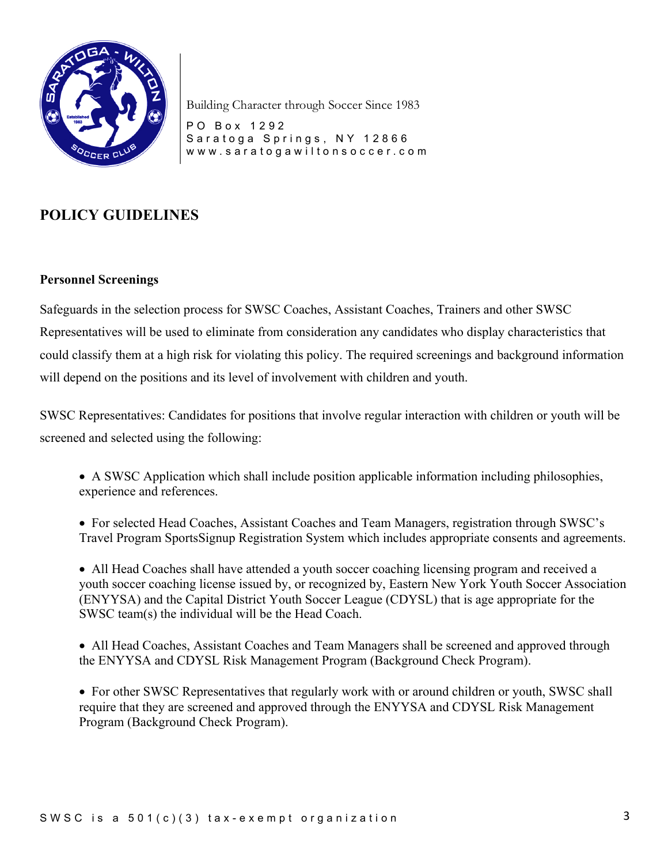

PO Box 1292 Saratoga Springs, NY 12866 www.saratogawiltonsoccer.co m

## **POLICY GUIDELINES**

#### **Personnel Screenings**

Safeguards in the selection process for SWSC Coaches, Assistant Coaches, Trainers and other SWSC Representatives will be used to eliminate from consideration any candidates who display characteristics that could classify them at a high risk for violating this policy. The required screenings and background information will depend on the positions and its level of involvement with children and youth.

SWSC Representatives: Candidates for positions that involve regular interaction with children or youth will be screened and selected using the following:

• A SWSC Application which shall include position applicable information including philosophies, experience and references.

• For selected Head Coaches, Assistant Coaches and Team Managers, registration through SWSC's Travel Program SportsSignup Registration System which includes appropriate consents and agreements.

• All Head Coaches shall have attended a youth soccer coaching licensing program and received a youth soccer coaching license issued by, or recognized by, Eastern New York Youth Soccer Association (ENYYSA) and the Capital District Youth Soccer League (CDYSL) that is age appropriate for the SWSC team(s) the individual will be the Head Coach.

• All Head Coaches, Assistant Coaches and Team Managers shall be screened and approved through the ENYYSA and CDYSL Risk Management Program (Background Check Program).

• For other SWSC Representatives that regularly work with or around children or youth, SWSC shall require that they are screened and approved through the ENYYSA and CDYSL Risk Management Program (Background Check Program).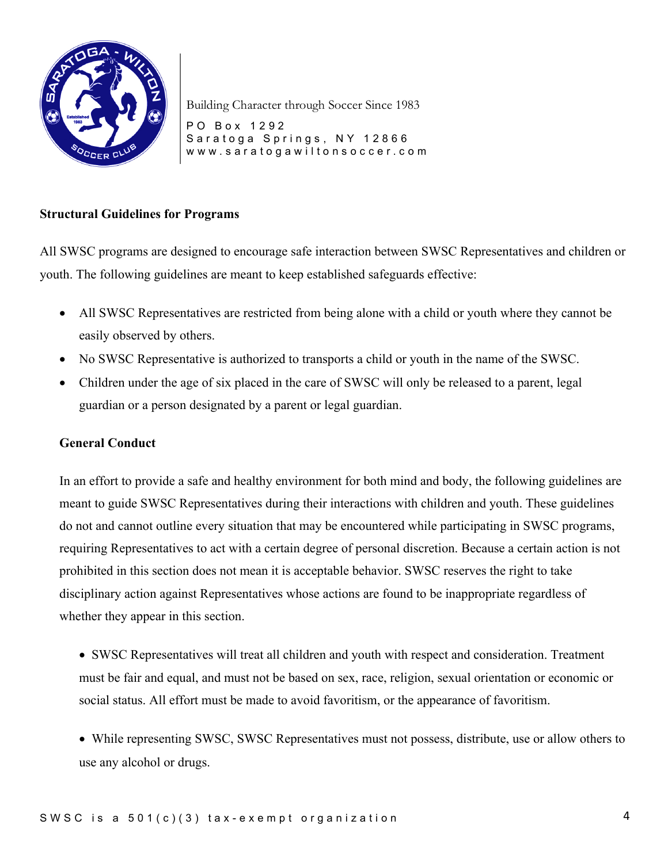

PO Box 1292 Saratoga Springs, NY 12866 www.saratogawiltonsoccer.co m

#### **Structural Guidelines for Programs**

All SWSC programs are designed to encourage safe interaction between SWSC Representatives and children or youth. The following guidelines are meant to keep established safeguards effective:

- All SWSC Representatives are restricted from being alone with a child or youth where they cannot be easily observed by others.
- No SWSC Representative is authorized to transports a child or youth in the name of the SWSC.
- Children under the age of six placed in the care of SWSC will only be released to a parent, legal guardian or a person designated by a parent or legal guardian.

#### **General Conduct**

In an effort to provide a safe and healthy environment for both mind and body, the following guidelines are meant to guide SWSC Representatives during their interactions with children and youth. These guidelines do not and cannot outline every situation that may be encountered while participating in SWSC programs, requiring Representatives to act with a certain degree of personal discretion. Because a certain action is not prohibited in this section does not mean it is acceptable behavior. SWSC reserves the right to take disciplinary action against Representatives whose actions are found to be inappropriate regardless of whether they appear in this section.

• SWSC Representatives will treat all children and youth with respect and consideration. Treatment must be fair and equal, and must not be based on sex, race, religion, sexual orientation or economic or social status. All effort must be made to avoid favoritism, or the appearance of favoritism.

• While representing SWSC, SWSC Representatives must not possess, distribute, use or allow others to use any alcohol or drugs.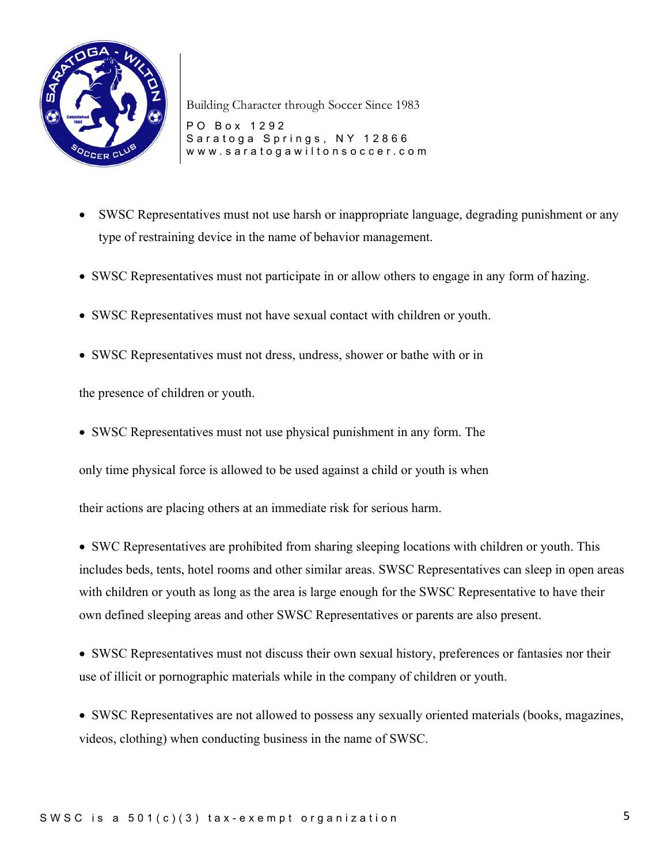

PO Box 1292 Saratoga Springs, NY 12866 www.saratogawiltonsoccer.co m

- SWSC Representatives must not use harsh or inappropriate language, degrading punishment or any type of restraining device in the name of behavior management.
- SWSC Representatives must not participate in or allow others to engage in any form of hazing.
- SWSC Representatives must not have sexual contact with children or youth.
- SWSC Representatives must not dress, undress, shower or bathe with or in

the presence of children or youth.

• SWSC Representatives must not use physical punishment in any form. The

only time physical force is allowed to be used against a child or youth is when

their actions are placing others at an immediate risk for serious harm.

• SWC Representatives are prohibited from sharing sleeping locations with children or youth. This includes beds, tents, hotel rooms and other similar areas. SWSC Representatives can sleep in open areas with children or youth as long as the area is large enough for the SWSC Representative to have their own defined sleeping areas and other SWSC Representatives or parents are also present.

• SWSC Representatives must not discuss their own sexual history, preferences or fantasies nor their use of illicit or pornographic materials while in the company of children or youth.

• SWSC Representatives are not allowed to possess any sexually oriented materials (books, magazines, videos, clothing) when conducting business in the name of SWSC.